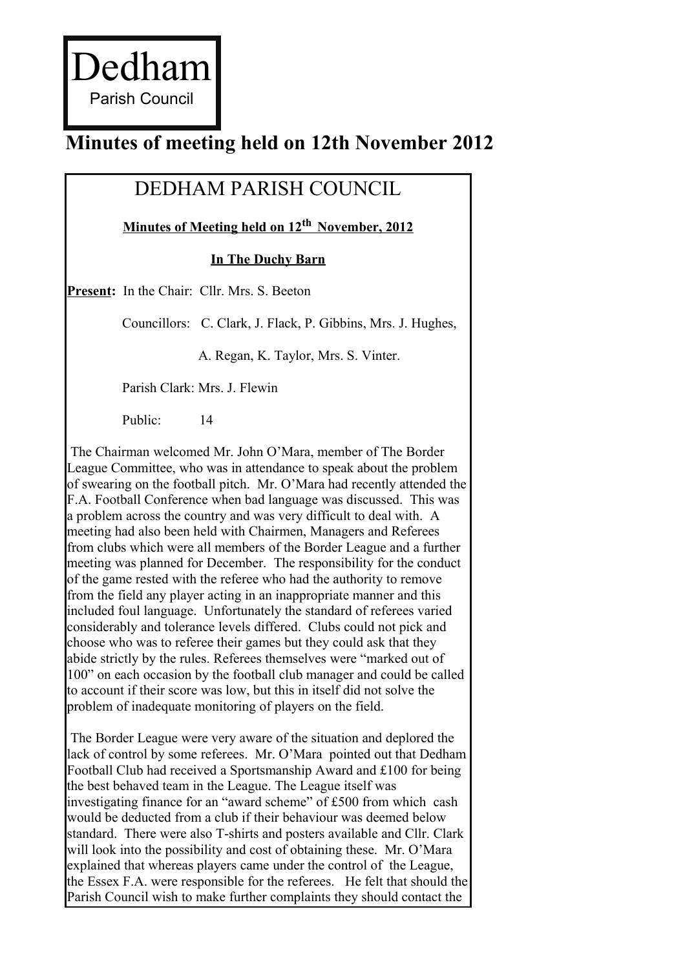Dedham Parish Council

# **Minutes of meeting held on 12th November 2012**

## DEDHAM PARISH COUNCIL

 **Minutes of Meeting held on 12th November, 2012**

**In The Duchy Barn**

**Present:** In the Chair: Cllr. Mrs. S. Beeton

Councillors: C. Clark, J. Flack, P. Gibbins, Mrs. J. Hughes,

A. Regan, K. Taylor, Mrs. S. Vinter.

Parish Clark: Mrs. J. Flewin

Public: 14

The Chairman welcomed Mr. John O'Mara, member of The Border League Committee, who was in attendance to speak about the problem of swearing on the football pitch. Mr. O'Mara had recently attended the F.A. Football Conference when bad language was discussed. This was a problem across the country and was very difficult to deal with. A meeting had also been held with Chairmen, Managers and Referees from clubs which were all members of the Border League and a further meeting was planned for December. The responsibility for the conduct of the game rested with the referee who had the authority to remove from the field any player acting in an inappropriate manner and this included foul language. Unfortunately the standard of referees varied considerably and tolerance levels differed. Clubs could not pick and choose who was to referee their games but they could ask that they abide strictly by the rules. Referees themselves were "marked out of 100" on each occasion by the football club manager and could be called to account if their score was low, but this in itself did not solve the problem of inadequate monitoring of players on the field.

The Border League were very aware of the situation and deplored the lack of control by some referees. Mr. O'Mara pointed out that Dedham Football Club had received a Sportsmanship Award and £100 for being the best behaved team in the League. The League itself was investigating finance for an "award scheme" of £500 from which cash would be deducted from a club if their behaviour was deemed below standard. There were also T-shirts and posters available and Cllr. Clark will look into the possibility and cost of obtaining these. Mr. O'Mara explained that whereas players came under the control of the League, the Essex F.A. were responsible for the referees. He felt that should the Parish Council wish to make further complaints they should contact the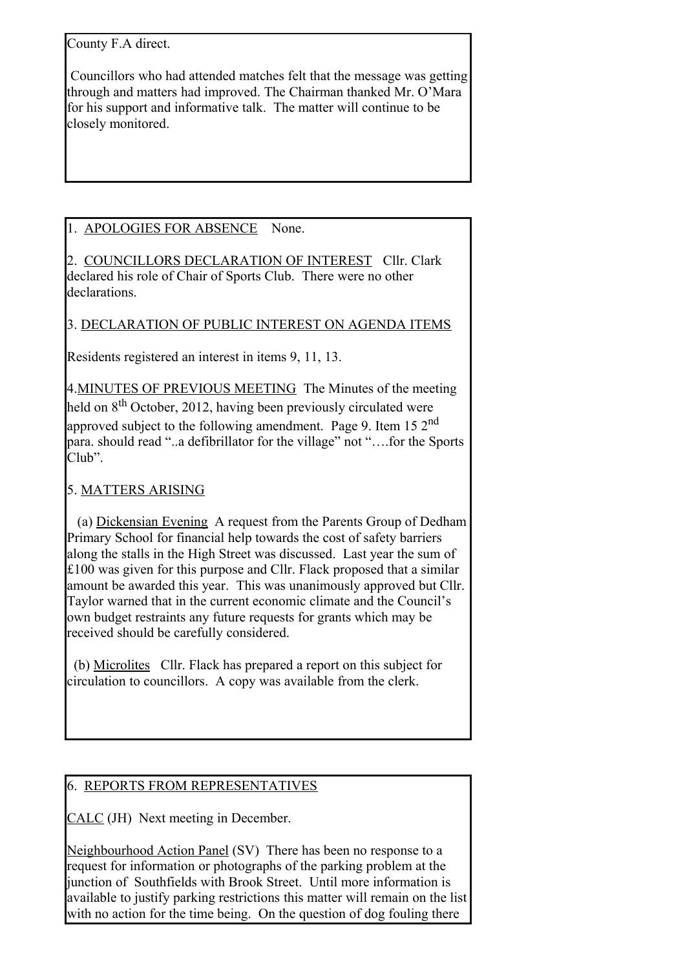County F.A direct.

Councillors who had attended matches felt that the message was getting through and matters had improved. The Chairman thanked Mr. O'Mara for his support and informative talk. The matter will continue to be closely monitored.

## 1. APOLOGIES FOR ABSENCE None.

2. COUNCILLORS DECLARATION OF INTEREST Cllr. Clark declared his role of Chair of Sports Club. There were no other declarations.

#### 3. DECLARATION OF PUBLIC INTEREST ON AGENDA ITEMS

Residents registered an interest in items 9, 11, 13.

4.MINUTES OF PREVIOUS MEETING The Minutes of the meeting held on 8<sup>th</sup> October, 2012, having been previously circulated were approved subject to the following amendment. Page 9. Item 15  $2<sup>nd</sup>$ para. should read "..a defibrillator for the village" not "….for the Sports Club".

## 5. MATTERS ARISING

(a) Dickensian Evening A request from the Parents Group of Dedham Primary School for financial help towards the cost of safety barriers along the stalls in the High Street was discussed. Last year the sum of £100 was given for this purpose and Cllr. Flack proposed that a similar amount be awarded this year. This was unanimously approved but Cllr. Taylor warned that in the current economic climate and the Council's own budget restraints any future requests for grants which may be received should be carefully considered.

(b) Microlites Cllr. Flack has prepared a report on this subject for circulation to councillors. A copy was available from the clerk.

#### 6. REPORTS FROM REPRESENTATIVES

CALC (JH) Next meeting in December.

Neighbourhood Action Panel (SV) There has been no response to a request for information or photographs of the parking problem at the junction of Southfields with Brook Street. Until more information is available to justify parking restrictions this matter will remain on the list with no action for the time being. On the question of dog fouling there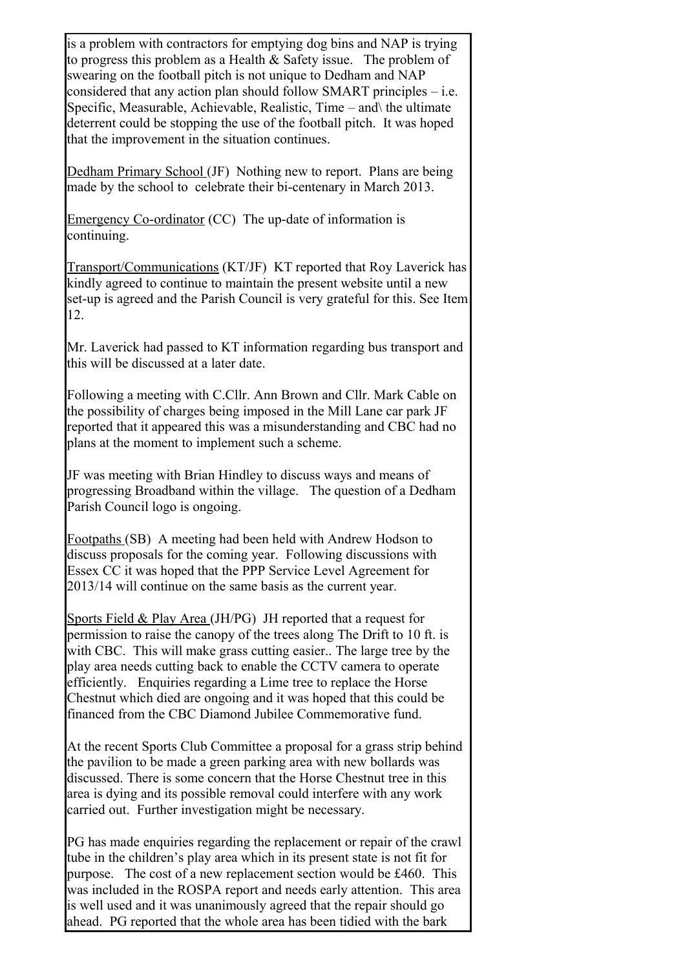is a problem with contractors for emptying dog bins and NAP is trying to progress this problem as a Health & Safety issue. The problem of swearing on the football pitch is not unique to Dedham and NAP considered that any action plan should follow SMART principles – i.e. Specific, Measurable, Achievable, Realistic, Time – and\ the ultimate deterrent could be stopping the use of the football pitch. It was hoped that the improvement in the situation continues.

Dedham Primary School (JF) Nothing new to report. Plans are being made by the school to celebrate their bi-centenary in March 2013.

Emergency Co-ordinator (CC) The up-date of information is continuing.

Transport/Communications (KT/JF) KT reported that Roy Laverick has kindly agreed to continue to maintain the present website until a new set-up is agreed and the Parish Council is very grateful for this. See Item 12.

Mr. Laverick had passed to KT information regarding bus transport and this will be discussed at a later date.

Following a meeting with C.Cllr. Ann Brown and Cllr. Mark Cable on the possibility of charges being imposed in the Mill Lane car park JF reported that it appeared this was a misunderstanding and CBC had no plans at the moment to implement such a scheme.

JF was meeting with Brian Hindley to discuss ways and means of progressing Broadband within the village. The question of a Dedham Parish Council logo is ongoing.

Footpaths (SB) A meeting had been held with Andrew Hodson to discuss proposals for the coming year. Following discussions with Essex CC it was hoped that the PPP Service Level Agreement for 2013/14 will continue on the same basis as the current year.

Sports Field & Play Area (JH/PG) JH reported that a request for permission to raise the canopy of the trees along The Drift to 10 ft. is with CBC. This will make grass cutting easier.. The large tree by the play area needs cutting back to enable the CCTV camera to operate efficiently. Enquiries regarding a Lime tree to replace the Horse Chestnut which died are ongoing and it was hoped that this could be financed from the CBC Diamond Jubilee Commemorative fund.

At the recent Sports Club Committee a proposal for a grass strip behind the pavilion to be made a green parking area with new bollards was discussed. There is some concern that the Horse Chestnut tree in this area is dying and its possible removal could interfere with any work carried out. Further investigation might be necessary.

PG has made enquiries regarding the replacement or repair of the crawl tube in the children's play area which in its present state is not fit for purpose. The cost of a new replacement section would be £460. This was included in the ROSPA report and needs early attention. This area is well used and it was unanimously agreed that the repair should go ahead. PG reported that the whole area has been tidied with the bark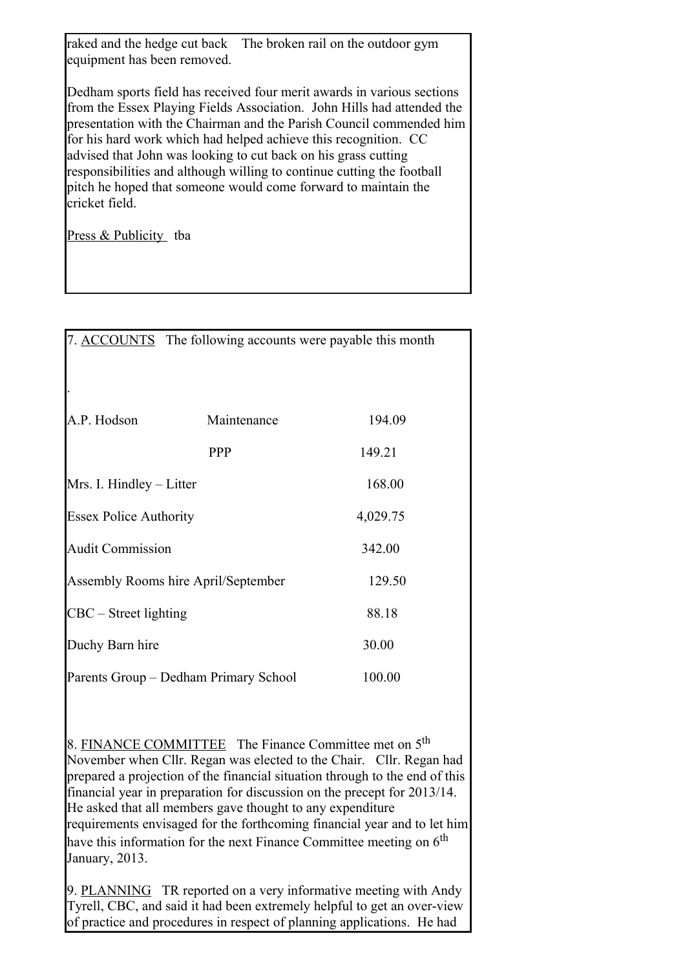raked and the hedge cut back The broken rail on the outdoor gym equipment has been removed.

Dedham sports field has received four merit awards in various sections from the Essex Playing Fields Association. John Hills had attended the presentation with the Chairman and the Parish Council commended him for his hard work which had helped achieve this recognition. CC advised that John was looking to cut back on his grass cutting responsibilities and although willing to continue cutting the football pitch he hoped that someone would come forward to maintain the cricket field.

Press & Publicity tba

|                                       | 7. ACCOUNTS The following accounts were payable this month |          |
|---------------------------------------|------------------------------------------------------------|----------|
|                                       |                                                            |          |
| A.P. Hodson                           | Maintenance                                                | 194.09   |
|                                       | <b>PPP</b>                                                 | 149.21   |
| Mrs. I. Hindley – Litter              |                                                            | 168.00   |
| <b>Essex Police Authority</b>         |                                                            | 4,029.75 |
| <b>Audit Commission</b>               |                                                            | 342.00   |
| Assembly Rooms hire April/September   |                                                            | 129.50   |
| CBC - Street lighting                 |                                                            | 88.18    |
| Duchy Barn hire                       |                                                            | 30.00    |
| Parents Group – Dedham Primary School |                                                            | 100.00   |

8. FINANCE COMMITTEE The Finance Committee met on 5<sup>th</sup> November when Cllr. Regan was elected to the Chair. Cllr. Regan had prepared a projection of the financial situation through to the end of this financial year in preparation for discussion on the precept for 2013/14. He asked that all members gave thought to any expenditure requirements envisaged for the forthcoming financial year and to let him have this information for the next Finance Committee meeting on  $6<sup>th</sup>$ January, 2013.

9. PLANNING TR reported on a very informative meeting with Andy Tyrell, CBC, and said it had been extremely helpful to get an over-view of practice and procedures in respect of planning applications. He had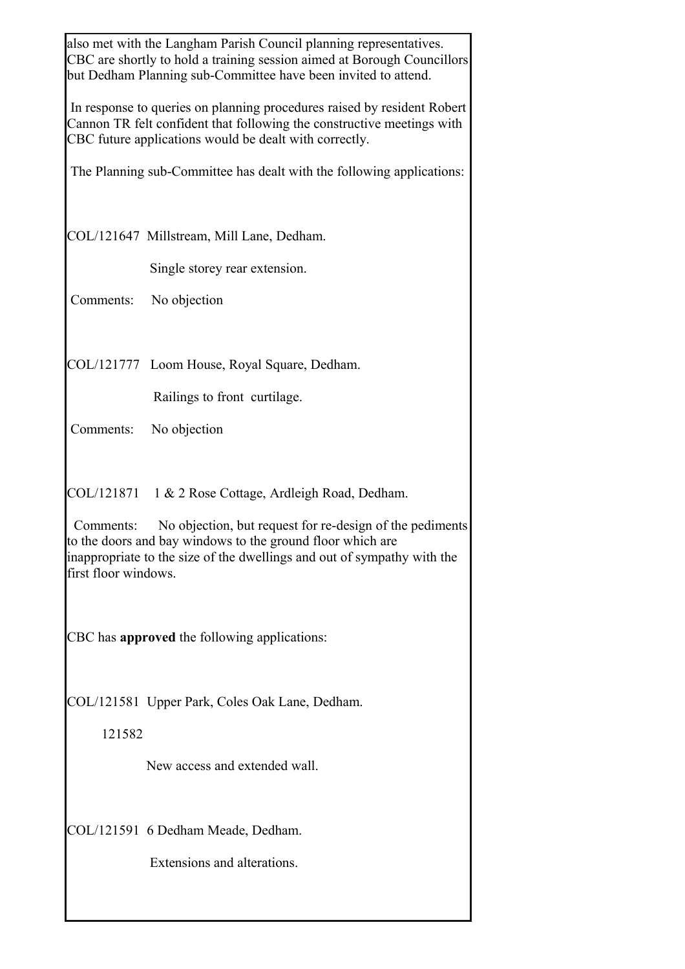|                                                                                                                                                                                                                                        | also met with the Langham Parish Council planning representatives.<br>CBC are shortly to hold a training session aimed at Borough Councillors<br>but Dedham Planning sub-Committee have been invited to attend. |                                                                       |  |
|----------------------------------------------------------------------------------------------------------------------------------------------------------------------------------------------------------------------------------------|-----------------------------------------------------------------------------------------------------------------------------------------------------------------------------------------------------------------|-----------------------------------------------------------------------|--|
|                                                                                                                                                                                                                                        | In response to queries on planning procedures raised by resident Robert<br>Cannon TR felt confident that following the constructive meetings with<br>CBC future applications would be dealt with correctly.     |                                                                       |  |
|                                                                                                                                                                                                                                        |                                                                                                                                                                                                                 | The Planning sub-Committee has dealt with the following applications: |  |
|                                                                                                                                                                                                                                        |                                                                                                                                                                                                                 | COL/121647 Millstream, Mill Lane, Dedham.                             |  |
|                                                                                                                                                                                                                                        |                                                                                                                                                                                                                 | Single storey rear extension.                                         |  |
|                                                                                                                                                                                                                                        |                                                                                                                                                                                                                 | Comments: No objection                                                |  |
|                                                                                                                                                                                                                                        |                                                                                                                                                                                                                 | COL/121777 Loom House, Royal Square, Dedham.                          |  |
|                                                                                                                                                                                                                                        |                                                                                                                                                                                                                 | Railings to front curtilage.                                          |  |
|                                                                                                                                                                                                                                        | Comments:                                                                                                                                                                                                       | No objection                                                          |  |
|                                                                                                                                                                                                                                        |                                                                                                                                                                                                                 | COL/121871 1 & 2 Rose Cottage, Ardleigh Road, Dedham.                 |  |
| No objection, but request for re-design of the pediments<br>Comments:<br>to the doors and bay windows to the ground floor which are<br>inappropriate to the size of the dwellings and out of sympathy with the<br>first floor windows. |                                                                                                                                                                                                                 |                                                                       |  |
| CBC has approved the following applications:                                                                                                                                                                                           |                                                                                                                                                                                                                 |                                                                       |  |
|                                                                                                                                                                                                                                        |                                                                                                                                                                                                                 | COL/121581 Upper Park, Coles Oak Lane, Dedham.                        |  |
|                                                                                                                                                                                                                                        | 121582                                                                                                                                                                                                          |                                                                       |  |
|                                                                                                                                                                                                                                        |                                                                                                                                                                                                                 | New access and extended wall.                                         |  |
|                                                                                                                                                                                                                                        |                                                                                                                                                                                                                 | COL/121591 6 Dedham Meade, Dedham.                                    |  |
|                                                                                                                                                                                                                                        |                                                                                                                                                                                                                 | Extensions and alterations.                                           |  |
|                                                                                                                                                                                                                                        |                                                                                                                                                                                                                 |                                                                       |  |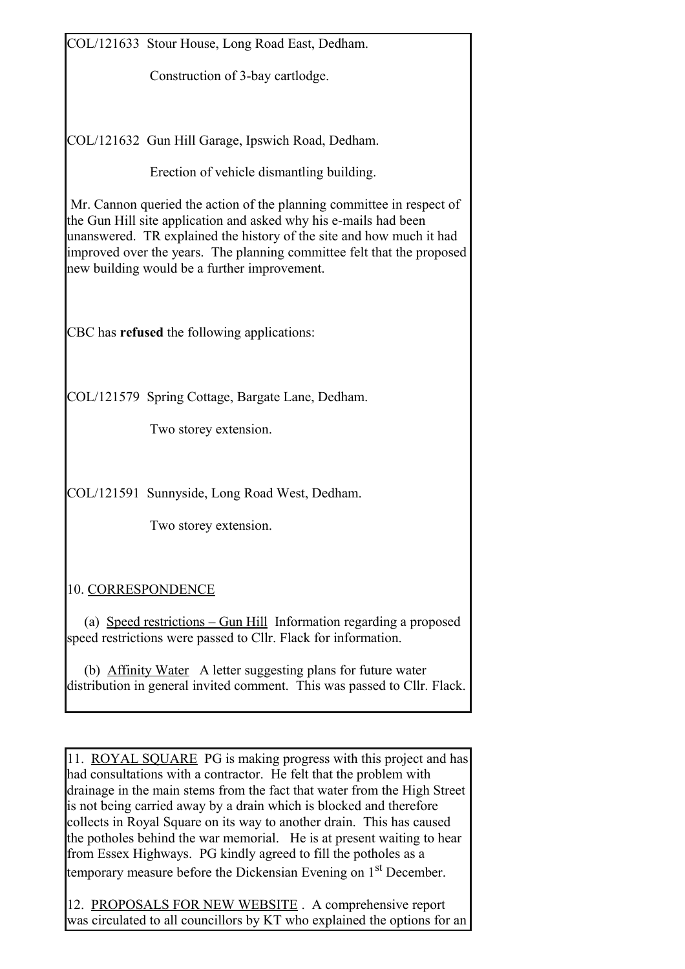COL/121633 Stour House, Long Road East, Dedham.

Construction of 3-bay cartlodge.

COL/121632 Gun Hill Garage, Ipswich Road, Dedham.

Erection of vehicle dismantling building.

Mr. Cannon queried the action of the planning committee in respect of the Gun Hill site application and asked why his e-mails had been unanswered. TR explained the history of the site and how much it had improved over the years. The planning committee felt that the proposed new building would be a further improvement.

CBC has **refused** the following applications:

COL/121579 Spring Cottage, Bargate Lane, Dedham.

Two storey extension.

COL/121591 Sunnyside, Long Road West, Dedham.

Two storey extension.

10. CORRESPONDENCE

(a) Speed restrictions – Gun Hill Information regarding a proposed speed restrictions were passed to Cllr. Flack for information.

(b) Affinity Water A letter suggesting plans for future water distribution in general invited comment. This was passed to Cllr. Flack.

11. ROYAL SQUARE PG is making progress with this project and has had consultations with a contractor. He felt that the problem with drainage in the main stems from the fact that water from the High Street is not being carried away by a drain which is blocked and therefore collects in Royal Square on its way to another drain. This has caused the potholes behind the war memorial. He is at present waiting to hear from Essex Highways. PG kindly agreed to fill the potholes as a temporary measure before the Dickensian Evening on 1st December.

12. PROPOSALS FOR NEW WEBSITE . A comprehensive report was circulated to all councillors by KT who explained the options for an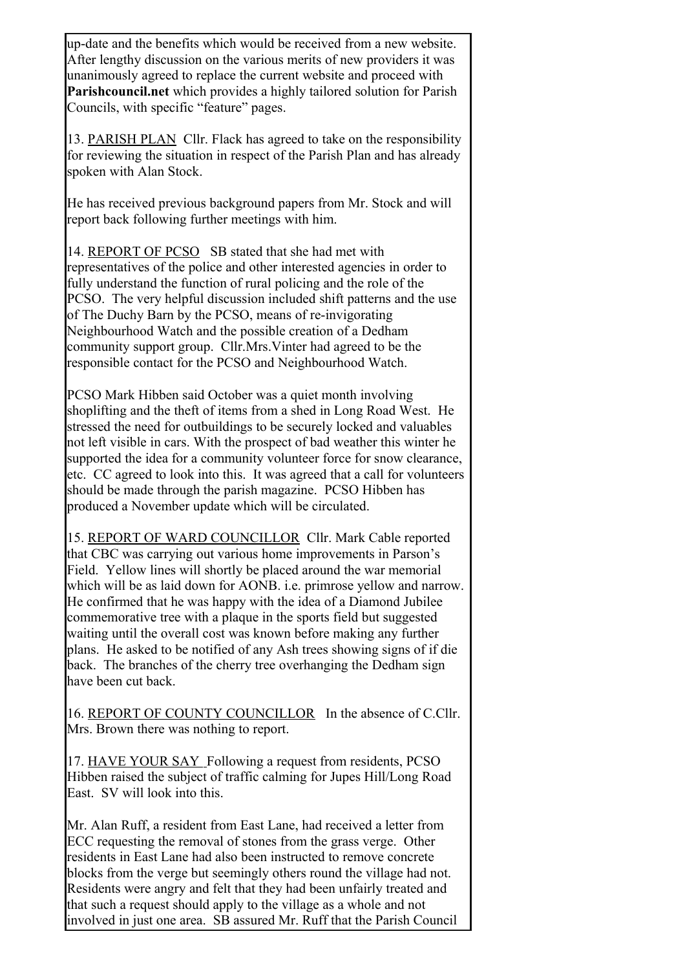up-date and the benefits which would be received from a new website. After lengthy discussion on the various merits of new providers it was unanimously agreed to replace the current website and proceed with **Parishcouncil.net** which provides a highly tailored solution for Parish Councils, with specific "feature" pages.

13. PARISH PLAN Cllr. Flack has agreed to take on the responsibility for reviewing the situation in respect of the Parish Plan and has already spoken with Alan Stock.

He has received previous background papers from Mr. Stock and will report back following further meetings with him.

14. REPORT OF PCSO SB stated that she had met with representatives of the police and other interested agencies in order to fully understand the function of rural policing and the role of the PCSO. The very helpful discussion included shift patterns and the use of The Duchy Barn by the PCSO, means of re-invigorating Neighbourhood Watch and the possible creation of a Dedham community support group. Cllr.Mrs.Vinter had agreed to be the responsible contact for the PCSO and Neighbourhood Watch.

PCSO Mark Hibben said October was a quiet month involving shoplifting and the theft of items from a shed in Long Road West. He stressed the need for outbuildings to be securely locked and valuables not left visible in cars. With the prospect of bad weather this winter he supported the idea for a community volunteer force for snow clearance, etc. CC agreed to look into this. It was agreed that a call for volunteers should be made through the parish magazine. PCSO Hibben has produced a November update which will be circulated.

15. REPORT OF WARD COUNCILLOR Cllr. Mark Cable reported that CBC was carrying out various home improvements in Parson's Field. Yellow lines will shortly be placed around the war memorial which will be as laid down for AONB, i.e. primrose yellow and narrow. He confirmed that he was happy with the idea of a Diamond Jubilee commemorative tree with a plaque in the sports field but suggested waiting until the overall cost was known before making any further plans. He asked to be notified of any Ash trees showing signs of if die back. The branches of the cherry tree overhanging the Dedham sign have been cut back.

16. REPORT OF COUNTY COUNCILLOR In the absence of C.Cllr. Mrs. Brown there was nothing to report.

17. HAVE YOUR SAY Following a request from residents, PCSO Hibben raised the subject of traffic calming for Jupes Hill/Long Road East. SV will look into this.

Mr. Alan Ruff, a resident from East Lane, had received a letter from ECC requesting the removal of stones from the grass verge. Other residents in East Lane had also been instructed to remove concrete blocks from the verge but seemingly others round the village had not. Residents were angry and felt that they had been unfairly treated and that such a request should apply to the village as a whole and not involved in just one area. SB assured Mr. Ruff that the Parish Council